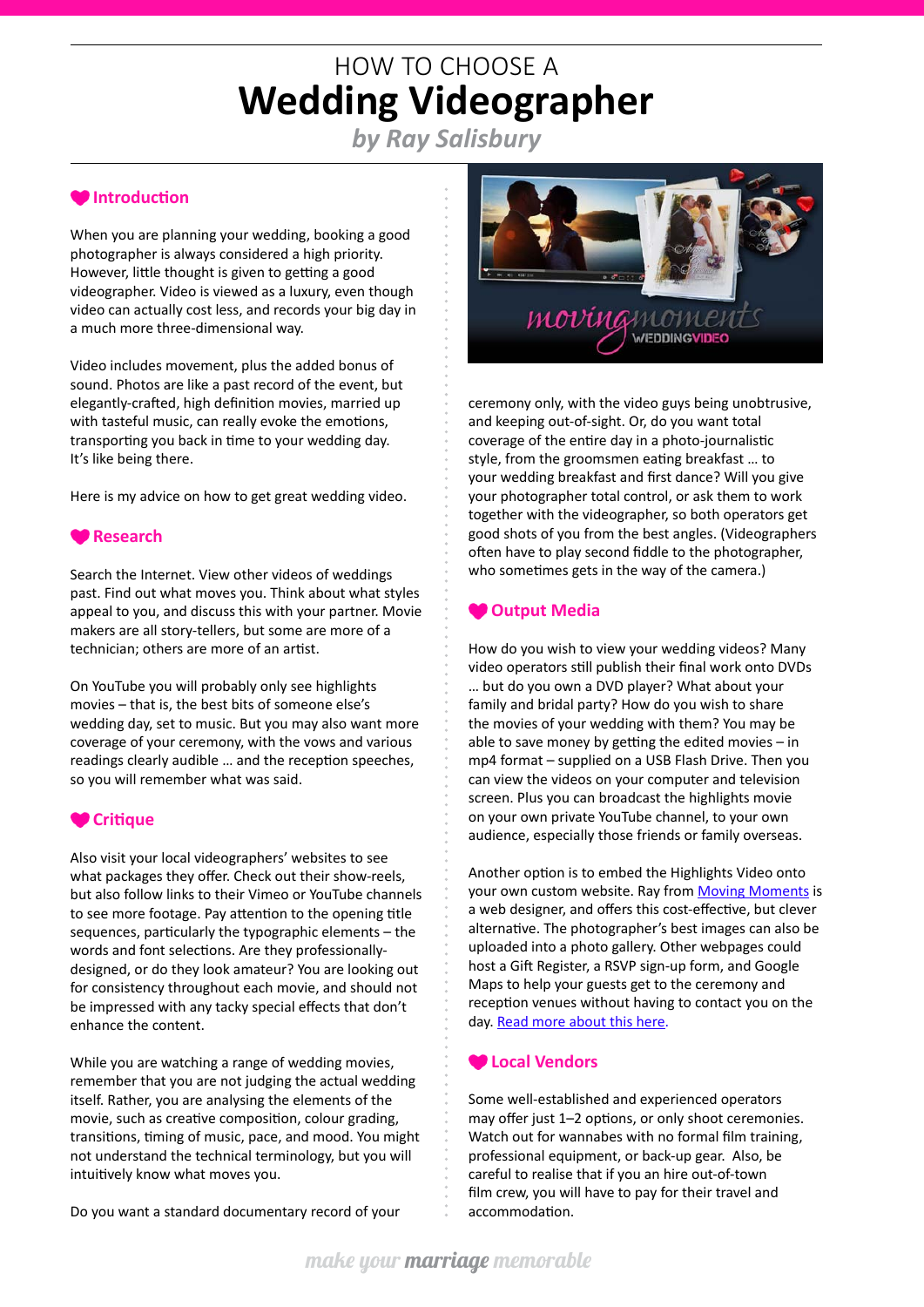# HOW TO CHOOSE A **Wedding Videographer**

*by Ray Salisbury*

# **Introduction**

When you are planning your wedding, booking a good photographer is always considered a high priority. However, little thought is given to getting a good videographer. Video is viewed as a luxury, even though video can actually cost less, and records your big day in a much more three-dimensional way.

Video includes movement, plus the added bonus of sound. Photos are like a past record of the event, but elegantly-crafted, high definition movies, married up with tasteful music, can really evoke the emotions, transporting you back in time to your wedding day. It's like being there.

Here is my advice on how to get great wedding video.

#### **Research**

Search the Internet. View other videos of weddings past. Find out what moves you. Think about what styles appeal to you, and discuss this with your partner. Movie makers are all story-tellers, but some are more of a technician; others are more of an artist.

On YouTube you will probably only see highlights movies – that is, the best bits of someone else's wedding day, set to music. But you may also want more coverage of your ceremony, with the vows and various readings clearly audible … and the reception speeches, so you will remember what was said.

### **Critique**

Also visit your local videographers' websites to see what packages they offer. Check out their show-reels, but also follow links to their Vimeo or YouTube channels to see more footage. Pay attention to the opening title sequences, particularly the typographic elements – the words and font selections. Are they professionallydesigned, or do they look amateur? You are looking out for consistency throughout each movie, and should not be impressed with any tacky special effects that don't enhance the content.

While you are watching a range of wedding movies, remember that you are not judging the actual wedding itself. Rather, you are analysing the elements of the movie, such as creative composition, colour grading, transitions, timing of music, pace, and mood. You might not understand the technical terminology, but you will intuitively know what moves you.

Do you want a standard documentary record of your



ceremony only, with the video guys being unobtrusive, and keeping out-of-sight. Or, do you want total coverage of the entire day in a photo-journalistic style, from the groomsmen eating breakfast … to your wedding breakfast and first dance? Will you give your photographer total control, or ask them to work together with the videographer, so both operators get good shots of you from the best angles. (Videographers often have to play second fiddle to the photographer, who sometimes gets in the way of the camera.)

#### **Output Media**

How do you wish to view your wedding videos? Many video operators still publish their final work onto DVDs … but do you own a DVD player? What about your family and bridal party? How do you wish to share the movies of your wedding with them? You may be able to save money by getting the edited movies – in mp4 format – supplied on a USB Flash Drive. Then you can view the videos on your computer and television screen. Plus you can broadcast the highlights movie on your own private YouTube channel, to your own audience, especially those friends or family overseas.

Another option is to embed the Highlights Video onto your own custom website. Ray from [Moving Moments](http://www.movingmoments.nz) is a web designer, and offers this cost-effective, but clever alternative. The photographer's best images can also be uploaded into a photo gallery. Other webpages could host a Gift Register, a RSVP sign-up form, and Google Maps to help your guests get to the ceremony and reception venues without having to contact you on the day. [Read more about this here.](http://www.movingmoments.nz/#!media/c19un)

#### **Local Vendors**

Some well-established and experienced operators may offer just 1–2 options, or only shoot ceremonies. Watch out for wannabes with no formal film training, professional equipment, or back-up gear. Also, be careful to realise that if you an hire out-of-town film crew, you will have to pay for their travel and accommodation.